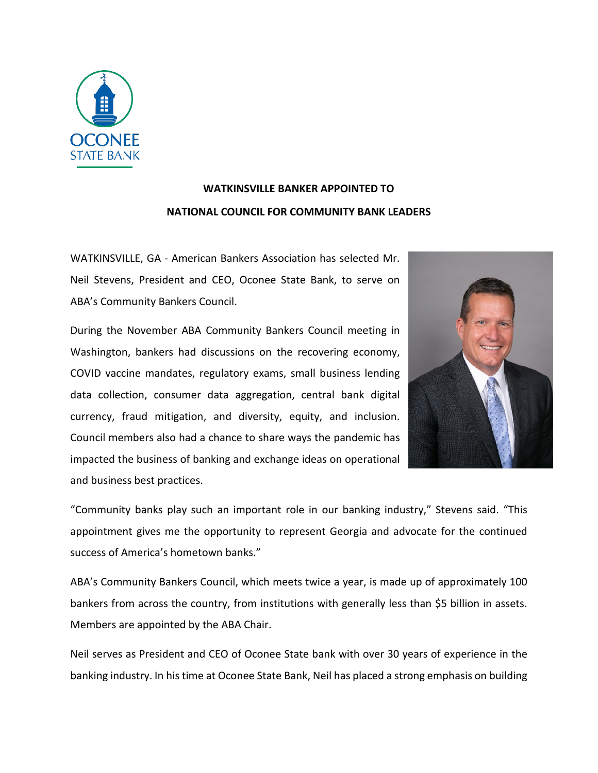

## **WATKINSVILLE BANKER APPOINTED TO NATIONAL COUNCIL FOR COMMUNITY BANK LEADERS**

WATKINSVILLE, GA - American Bankers Association has selected Mr. Neil Stevens, President and CEO, Oconee State Bank, to serve on ABA's Community Bankers Council.

During the November ABA Community Bankers Council meeting in Washington, bankers had discussions on the recovering economy, COVID vaccine mandates, regulatory exams, small business lending data collection, consumer data aggregation, central bank digital currency, fraud mitigation, and diversity, equity, and inclusion. Council members also had a chance to share ways the pandemic has impacted the business of banking and exchange ideas on operational and business best practices.



"Community banks play such an important role in our banking industry," Stevens said. "This appointment gives me the opportunity to represent Georgia and advocate for the continued success of America's hometown banks."

ABA's Community Bankers Council, which meets twice a year, is made up of approximately 100 bankers from across the country, from institutions with generally less than \$5 billion in assets. Members are appointed by the ABA Chair.

Neil serves as President and CEO of Oconee State bank with over 30 years of experience in the banking industry. In his time at Oconee State Bank, Neil has placed a strong emphasis on building